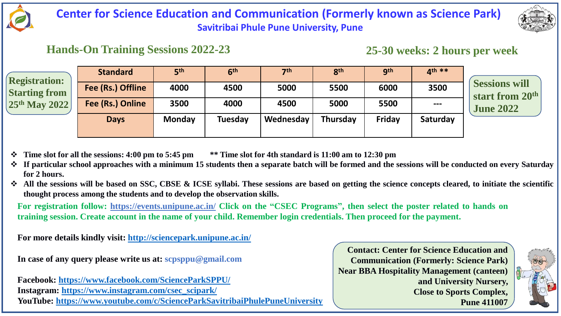

## **Center for Science Education and Communication (Formerly known as Science Park) Savitribai Phule Pune University, Pune**

### **Hands-On Training Sessions 2022-23**

**25-30 weeks: 2 hours per week**

| <b>Registration:</b><br><b>Starting from</b><br>$25th$ May 2022 | <b>Standard</b>   | 5 <sup>th</sup> | 6 <sup>th</sup> | 7 <sup>th</sup> | 8 <sup>th</sup> | <b>gth</b>    | $4th**$                |                                                |
|-----------------------------------------------------------------|-------------------|-----------------|-----------------|-----------------|-----------------|---------------|------------------------|------------------------------------------------|
|                                                                 | Fee (Rs.) Offline | 4000            | 4500            | 5000            | 5500            | 6000          | 3500                   | <b>Sessions will</b><br><b>start from 20th</b> |
|                                                                 | Fee (Rs.) Online  | 3500            | 4000            | 4500            | 5000            | 5500          | $\qquad \qquad \cdots$ | <b>June 2022</b>                               |
|                                                                 | <b>Days</b>       | <b>Monday</b>   | <b>Tuesday</b>  | Wednesday       | <b>Thursday</b> | <b>Friday</b> | Saturday               |                                                |
|                                                                 |                   |                 |                 |                 |                 |               |                        |                                                |

- Time slot for all the sessions: 4:00 pm to 5:45 pm \*\* Time slot for 4th standard is 11:00 am to 12:30 pm
- If particular school approaches with a minimum 15 students then a separate batch will be formed and the sessions will be conducted on every Saturday **for 2 hours.**
- All the sessions will be based on SSC, CBSE & ICSE syllabi. These sessions are based on getting the science concepts cleared, to initiate the scientific **thought process among the students and to develop the observation skills.**

For registration follow: <https://events.unipune.ac.in/> Click on the "CSEC Programs", then select the poster related to hands on training session. Create account in the name of your child. Remember login credentials. Then proceed for the payment.

**For more details kindly visit: <http://sciencepark.unipune.ac.in/>**

**In case of any query please write us at: scpsppu@gmail.com**

**Facebook: <https://www.facebook.com/ScienceParkSPPU/> Instagram: [https://www.instagram.com/csec\\_scipark/](https://www.instagram.com/scienceparksppu/?igshid=1cdfsehxvcirl) YouTube: <https://www.youtube.com/c/ScienceParkSavitribaiPhulePuneUniversity>**

**Contact: Center for Science Education and Communication (Formerly: Science Park) Near BBA Hospitality Management (canteen) and University Nursery, Close to Sports Complex, Pune 411007**